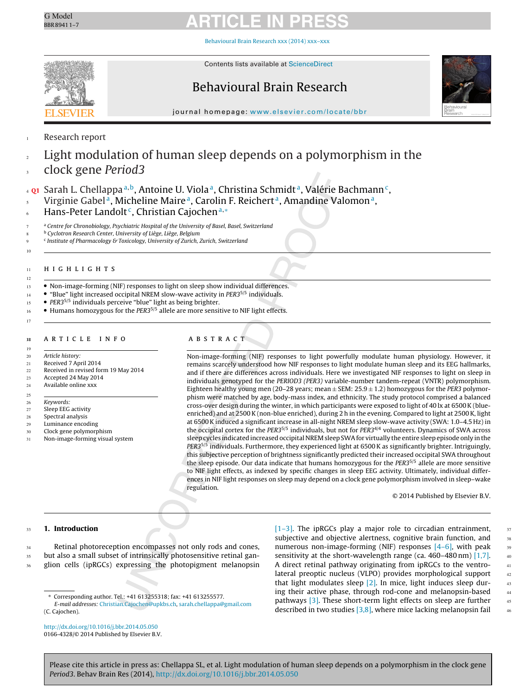

[Behavioural](dx.doi.org/10.1016/j.bbr.2014.05.050) Brain Research xxx (2014) xxx–xxx



Contents lists available at [ScienceDirect](http://www.sciencedirect.com/science/journal/01664328)

## Behavioural Brain Research



jour nal homepage: [www.elsevier.com/locate/bbr](http://www.elsevier.com/locate/bbr)

## Research report

1

2 3

8 9 10

17

## Light modulation of human sleep depends on a polymorphism in the clock gene Period3

Sarah L. Chellappa<sup>a,b</sup>, Antoine U. Viola<sup>a</sup>, Christina Schmidt<sup>a</sup>, Valérie Bachmann<sup>c</sup>, Virginie Gabel<sup>a</sup>, Micheline Maire<sup>a</sup>, Carolin F. Reichert<sup>a</sup>, Amandine Valomon<sup>a</sup>, Hans-Peter Landolt<sup>c</sup>, Christian Cajochen<sup>a,\*</sup> 4 5 6

<sup>a</sup> Centre for Chronobiology, Psychiatric Hospital of the University of Basel, Basel, Switzerland 7

<sup>b</sup> Cyclotron Research Center, University of Liège, Liège, Belgium

<sup>c</sup> Institute of Pharmacology & Toxicology, University of Zurich, Zurich, Switzerland

## **HIGHLIGHTS**

- Non-image-forming (NIF) responses to light on sleep show individual differences.
- "Blue" light increased occipital NREM slow-wave activity in PER35/5 individuals.
- PER35/5 individuals perceive "blue" light as being brighter. 15
- Humans homozygous for the PER3<sup>5/5</sup> allele are more sensitive to NIF light effects. 16

#### ARTICLE INFO <sub>29</sub>

Received 7 April 2014 21

Received in revised form 19 May 2014 22

- Accepted 24 May 2014 Available online xxx 23 24
- 25
- Keywords: 26
- Sleep EEG activity 27
- Spectral analysis  $28$
- Luminance encoding 29
- Clock gene polymorphism Non-image-forming visual system 30 31

### ARSTRACT  $\mathbf{a}$  b s t  $\mathbf{b}$  and  $\mathbf{b}$

Non-image-forming (NIF) responses to light powerfully modulate human physiology. However, it remains scarcely understood how NIF responses to light modulate human sleep and its EEG hallmarks, and if there are differences across individuals. Here we investigated NIF responses to light on sleep in individuals genotyped for the PERIOD3 (PER3) variable-number tandem-repeat (VNTR) polymorphism. Eighteen healthy young men (20–28 years; mean  $\pm$  SEM: 25.9  $\pm$  1.2) homozygous for the PER3 polymorphism were matched by age, body-mass index, and ethnicity. The study protocol comprised a balanced cross-over design during the winter, in which participants were exposed to light of 40 lx at 6500K (blueenriched) and at 2500 K (non-blue enriched), during 2 h in the evening. Compared to light at 2500 K, light at 6500K induced a significant increase in all-night NREM sleep slow-wave activity (SWA: 1.0–4.5 Hz) in the occipital cortex for the PER3<sup>5/5</sup> individuals, but not for PER3<sup>4/4</sup> volunteers. Dynamics of SWA across sleep cycles indicated increased occipital NREM sleep SWA for virtually the entire sleep episode only in the PER3<sup>5/5</sup> individuals. Furthermore, they experienced light at 6500 K as significantly brighter. Intriguingly, this subjective perception of brightness significantly predicted their increased occipital SWA throughout the sleep episode. Our data indicate that humans homozygous for the PER3<sup>5/5</sup> allele are more sensitive to NIF light effects, as indexed by specific changes in sleep EEG activity. Ultimately, individual differences in NIF light responses on sleep may depend on a clock gene polymorphism involved in sleep–wake regulation.

© 2014 Published by Elsevier B.V.

#### **1. Introduction**  $33$

34 35 36

Retinal photoreception encompasses not only rods and cones, but also a small subset of intrinsically photosensitive retinal ganglion cells (ipRGCs) expressing the photopigment melanopsin

[\[1–3\].](#page-5-0) The ipRGCs play a major role to circadian entrainment, subjective and objective alertness, cognitive brain function, and numerous non-image-forming (NIF) responses  $[4-6]$ , with peak sensitivity at the short-wavelength range (ca. 460–480 nm) [\[1,7\].](#page-5-0) A direct retinal pathway originating from ipRGCs to the ventrolateral preoptic nucleus (VLPO) provides morphological support that light modulates sleep  $[2]$ . In mice, light induces sleep during their active phase, through rod-cone and melanopsin-based pathways [\[3\].](#page-5-0) These short-term light effects on sleep are further described in two studies [\[3,8\],](#page-5-0) where mice lacking melanopsin fail

<sup>∗</sup> Corresponding author. Tel.: +41 613255318; fax: +41 613255577.

E-mail addresses: [Christian.Cajochen@upkbs.ch](mailto:Christian.Cajochen@upkbs.ch), [sarah.chellappa@gmail.com](mailto:sarah.chellappa@gmail.com) (C. Cajochen).

[http://dx.doi.org/10.1016/j.bbr.2014.05.050](dx.doi.org/10.1016/j.bbr.2014.05.050) 0166-4328/© 2014 Published by Elsevier B.V.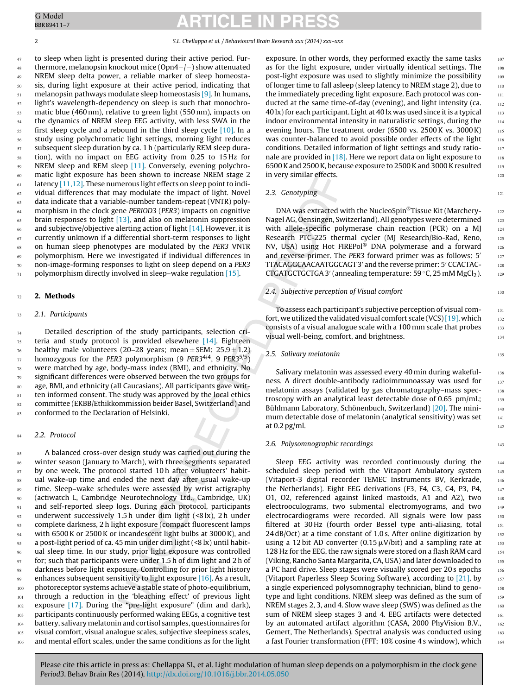BBR89411–7

# G Model **ARTICLE IN PRESS**

to sleep when light is presented during their active period. Furthermore, melanopsin knockout mice (Opn4−/−) show attenuated NREM sleep delta power, a reliable marker of sleep homeostasis, during light exposure at their active period, indicating that melanopsin pathways modulate sleep homeostasis [\[9\].](#page-5-0) In humans, light's wavelength-dependency on sleep is such that monochromatic blue (460 nm), relative to green light (550 nm), impacts on the dynamics of NREM sleep EEG activity, with less SWA in the first sleep cycle and a rebound in the third sleep cycle [\[10\].](#page-5-0) In a study using polychromatic light settings, morning light reduces subsequent sleep duration by ca. 1 h (particularly REM sleep duration), with no impact on EEG activity from 0.25 to 15 Hz for NREM sleep and REM sleep [\[11\].](#page-5-0) Conversely, evening polychromatic light exposure has been shown to increase NREM stage 2 latency  $[11,12]$ . These numerous light effects on sleep point to individual differences that may modulate the impact of light. Novel data indicate that a variable-number tandem-repeat (VNTR) polymorphism in the clock gene PERIOD3 (PER3) impacts on cognitive brain responses to light [\[13\],](#page-5-0) and also on melatonin suppression and subjective/objective alerting action of light  $[14]$ . However, it is currently unknown if a differential short-term responses to light on human sleep phenotypes are modulated by the PER3 VNTR polymorphism. Here we investigated if individual differences in non-image-forming responses to light on sleep depend on a PER3 polymorphism directly involved in sleep–wake regulation [\[15\].](#page-5-0) 47 48 49 50 51 52 53 54 55 56 57 58 59 60 61 62 63 64 65 66 67 68 69 70 71

#### **2. Methods** 72

73

84

### 2.1. Participants

Detailed description of the study participants, selection criteria and study protocol is provided elsewhere [\[14\].](#page-5-0) Eighteen healthy male volunteers (20–28 years; mean  $\pm$  SEM: 25.9  $\pm$  1.2) homozygous for the PER3 polymorphism (9 PER3<sup>4/4</sup>, 9 PER3<sup>5/5</sup>) were matched by age, body-mass index (BMI), and ethnicity. No significant differences were observed between the two groups for age, BMI, and ethnicity (all Caucasians). All participants gave written informed consent. The study was approved by the local ethics committee (EKBB/Ethikkommission beider Basel, Switzerland) and conformed to the Declaration of Helsinki. 74 75 76 77 78 79 80 81 82 83

### 2.2. Protocol

A balanced cross-over design study was carried out during the winter season (January to March), with three segments separated by one week. The protocol started 10 h after volunteers' habitual wake-up time and ended the next day after usual wake-up time. Sleep–wake schedules were assessed by wrist actigraphy (actiwatch L, Cambridge Neurotechnology Ltd., Cambridge, UK) and self-reported sleep logs. During each protocol, participants underwent successively 1.5 h under dim light (<8 lx), 2 h under complete darkness, 2 h light exposure (compact fluorescent lamps with 6500K or 2500K or incandescent light bulbs at 3000K), and a post-light period of ca. 45 min under dim light (<8 lx) until habitual sleep time. In our study, prior light exposure was controlled for; such that participants were under 1.5 h of dim light and 2 h of darkness before light exposure. Controlling for prior light history enhances subsequent sensitivity to light exposure [\[16\].](#page-5-0) As a result, photoreceptor systems achieve a stable state of photo-equilibrium, through a reduction in the 'bleaching effect' of previous light exposure [\[17\].](#page-5-0) During the "pre-light exposure" (dim and dark), participants continuously performed waking EEGs, a cognitive test battery, salivary melatonin and cortisol samples, questionnaires for visual comfort, visual analogue scales, subjective sleepiness scales, and mental effort scales, under the same conditions as for the light 85 86 87 88  $89$  $90^{\circ}$ 91 92 93 94 95 96 97 98 99 100 101 102 103 104 105 106

exposure. In other words, they performed exactly the same tasks as for the light exposure, under virtually identical settings. The post-light exposure was used to slightly minimize the possibility of longer time to fall asleep (sleep latency to NREM stage 2), due to the immediately preceding light exposure. Each protocol was conducted at the same time-of-day (evening), and light intensity (ca. 40 lx) for each participant. Light at 40 lx was used since it is a typical indoor environmental intensity in naturalistic settings, during the evening hours. The treatment order (6500 vs. 2500K vs. 3000K) was counter-balanced to avoid possible order effects of the light conditions. Detailed information of light settings and study rationale are provided in  $[18]$ . Here we report data on light exposure to 6500K and 2500K, because exposure to 2500K and 3000K resulted in very similar effects.

121

130

135

## 2.3. Genotyping

DNA was extracted with the NucleoSpin®Tissue Kit (Marchery-Nagel AG, Oensingen, Switzerland). All genotypes were determined with allele-specific polymerase chain reaction (PCR) on a MJ Research PTC-225 thermal cycler (MJ Research/Bio-Rad, Reno, NV, USA) using Hot FIREPol® DNA polymerase and a forward and reverse primer. The PER3 forward primer was as follows: 5 TTACAGGCAACAATGGCAGT 3' and the reverse primer: 5' CCACTAC-CTGATGCTGCTGA 3' (annealing temperature: 59  $\degree$ C, 25 mM MgCl<sub>2</sub>).

## 2.4. Subjective perception of Visual comfort

To assess each participant's subjective perception of visual comfort, we utilized the validated visual comfort scale (VCS)  $[19]$ , which consists of a visual analogue scale with a 100 mm scale that probes visual well-being, comfort, and brightness.

## 2.5. Salivary melatonin

Salivary melatonin was assessed every 40 min during wakefulness. A direct double-antibody radioimmunoassay was used for melatonin assays (validated by gas chromatography–mass spectroscopy with an analytical least detectable dose of 0.65 pm/mL; Bühlmann Laboratory, Schönenbuch, Switzerland) [\[20\].](#page-5-0) The minimum detectable dose of melatonin (analytical sensitivity) was set at 0.2 pg/ml.

### 2.6. Polysomnographic recordings

Sleep EEG activity was recorded continuously during the scheduled sleep period with the Vitaport Ambulatory system (Vitaport-3 digital recorder TEMEC Instruments BV, Kerkrade, the Netherlands). Eight EEG derivations (F3, F4, C3, C4, P3, P4, O1, O2, referenced against linked mastoids, A1 and A2), two electrooculograms, two submental electromyograms, and two electrocardiograms were recorded. All signals were low pass filtered at 30 Hz (fourth order Bessel type anti-aliasing, total 24 dB/Oct) at a time constant of 1.0 s. After online digitization by using a 12 bit AD converter (0.15  $\mu$ V/bit) and a sampling rate at 128 Hz for the EEG, the raw signals were stored on a flash RAM card (Viking, Rancho Santa Margarita, CA, USA) and later downloaded to a PC hard drive. Sleep stages were visually scored per 20 s epochs (Vitaport Paperless Sleep Scoring Software), according to  $[21]$ , by a single experienced polysomnography technician, blind to genotype and light conditions. NREM sleep was defined as the sum of NREM stages 2, 3, and 4. Slow wave sleep (SWS) was defined as the sum of NREM sleep stages 3 and 4. EEG artifacts were detected by an automated artifact algorithm (CASA, 2000 PhyVision B.V., Gemert, The Netherlands). Spectral analysis was conducted using a fast Fourier transformation (FFT; 10% cosine 4 s window), which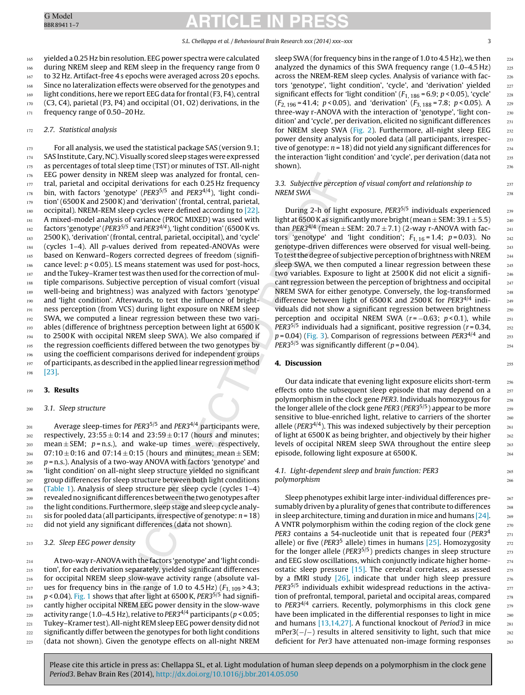255

> 265 266

yielded a 0.25 Hz bin resolution. EEG power spectra were calculated during NREM sleep and REM sleep in the frequency range from 0 to 32 Hz. Artifact-free 4 s epochs were averaged across 20 s epochs. Since no lateralization effects were observed for the genotypes and light conditions, here we report EEG data for frontal (F3, F4), central (C3, C4), parietal (P3, P4) and occipital (O1, O2) derivations, in the frequency range of 0.50–20 Hz. 165 166 167 168 169 170 171

#### 2.7. Statistical analysis 172

For all analysis, we used the statistical package SAS (version 9.1; SAS Institute,Cary, NC).Visually scored sleep stages were expressed as percentages of total sleep time (TST) or minutes of TST. All-night EEG power density in NREM sleep was analyzed for frontal, central, parietal and occipital derivations for each 0.25 Hz frequency bin, with factors 'genotype' ( $PER3^{5/5}$  and  $PER3^{4/4}$ ), 'light condition' (6500K and 2500K) and 'derivation' (frontal, central, parietal, occipital). NREM-REM sleep cycles were defined according to [\[22\].](#page-5-0) A mixed-model analysis of variance (PROC MIXED) was used with factors 'genotype' (PER3 $5/5$  and PER3 $4/4$ ), 'light condition' (6500 K vs. 2500K), 'derivation' (frontal, central, parietal, occipital), and 'cycle' (cycles 1–4). All p-values derived from repeated-ANOVAs were based on Kenward–Rogers corrected degrees of freedom (significance level:  $p < 0.05$ ). LS means statement was used for post-hocs, and the Tukey–Kramer test was then used for the correction of multiple comparisons. Subjective perception of visual comfort (visual well-being and brightness) was analyzed with factors 'genotype' and 'light condition'. Afterwards, to test the influence of brightness perception (from VCS) during light exposure on NREM sleep SWA, we computed a linear regression between these two variables (difference of brightness perception between light at 6500K to 2500K with occipital NREM sleep SWA). We also compared if the regression coefficients differed between the two genotypes by using the coefficient comparisons derived for independent groups of participants, as described in the applied linear regression method [\[23\].](#page-6-0) 173 174 175 176 177 178 179 180 181 182 183 184 185 186 187 188 189 190 191 192 193 194 195 196 197 198

#### **3. Results** 199

#### 3.1. Sleep structure 200

Average sleep-times for PER3<sup>5/5</sup> and PER3<sup>4/4</sup> participants were, respectively,  $23:55 \pm 0.14$  and  $23:59 \pm 0.17$  (hours and minutes; mean  $\pm$  SEM;  $p$  = n.s.), and wake-up times were, respectively,  $07:10 \pm 0:16$  and  $07:14 \pm 0:15$  (hours and minutes; mean  $\pm$  SEM; p = n.s.). Analysis of a two-way ANOVA with factors 'genotype' and 'light condition' on all-night sleep structure yielded no significant group differences for sleep structure between both light conditions ([Table](#page-3-0) 1). Analysis of sleep structure per sleep cycle (cycles 1–4) revealed no significant differences between the two genotypes after the light conditions. Furthermore, sleep stage and sleep cycle analysis for pooled data (all participants, irrespective of genotype:  $n = 18$ ) did not yield any significant differences (data not shown). 201 202 203 204 205 206 207  $208$  $209$ 210 211 212

#### 3.2. Sleep EEG power density 213

A two-way r-ANOVA with the factors 'genotype' and 'light condition', for each derivation separately, yielded significant differences for occipital NREM sleep slow-wave activity range (absolute values for frequency bins in the range of 1.0 to 4.5 Hz)  $(F<sub>1, 109</sub> > 4.3;$  $p$  < 0.04). [Fig.](#page-3-0) 1 shows that after light at 6500 K, PER3 $^{5/5}$  had significantly higher occipital NREM EEG power density in the slow-wave activity range (1.0–4.5 Hz), relative to PER3<sup>4/4</sup> participants ( $p < 0.05$ ; Tukey–Kramer test).All-nightREMsleep EEG power density did not significantly differ between the genotypes for both light conditions (data not shown). Given the genotype effects on all-night NREM 214 215 216 217 218 219 220 221 222 223

sleep SWA (for frequency bins in the range of 1.0 to 4.5 Hz), we then analyzed the dynamics of this SWA frequency range (1.0–4.5 Hz) across the NREM-REM sleep cycles. Analysis of variance with factors 'genotype', 'light condition', 'cycle', and 'derivation' yielded significant effects for 'light condition' ( $F_{1, 186}$  = 6.9;  $p$  < 0.05), 'cycle'  $(F_{2, 196} = 41.4; p < 0.05)$ , and 'derivation'  $(F_{3, 188} = 7.8; p < 0.05)$ . A three-way r-ANOVA with the interaction of 'genotype', 'light condition' and 'cycle', per derivation, elicited no significant differences for NREM sleep SWA [\(Fig.](#page-4-0) 2). Furthermore, all-night sleep EEG power density analysis for pooled data (all participants, irrespective of genotype:  $n = 18$ ) did not yield any significant differences for the interaction 'light condition' and 'cycle', per derivation (data not shown).

## 3.3. Subjective perception of visual comfort and relationship to NREM SWA

During 2-h of light exposure, PER35/5 individuals experienced light at 6500 K as significantly more bright (mean  $\pm$  SEM: 39.1  $\pm$  5.5) than PER3<sup>4/4</sup> (mean  $\pm$  SEM: 20.7  $\pm$  7.1) (2-way r-ANOVA with factors 'genotype' and 'light condition';  $F_{1, 16} = 1.4$ ;  $p = 0.03$ ). No genotype-driven differences were observed for visual well-being. To test the degree of subjective perception of brightness with NREM sleep SWA, we then computed a linear regression between these two variables. Exposure to light at 2500K did not elicit a significant regression between the perception of brightness and occipital NREM SWA for either genotype. Conversely, the log-transformed difference between light of 6500K and 2500K for PER34/4 individuals did not show a significant regression between brightness perception and occipital NREM SWA ( $r = -0.63$ ;  $p < 0.1$ ), while PER3<sup>5/5</sup> individuals had a significant, positive regression ( $r = 0.34$ ,  $p = 0.04$ ) [\(Fig.](#page-4-0) 3). Comparison of regressions between PER3<sup>4/4</sup> and PER3<sup>5/5</sup> was significantly different ( $p = 0.04$ ).

## **4. Discussion**

Our data indicate that evening light exposure elicits short-term effects onto the subsequent sleep episode that may depend on a polymorphism in the clock gene PER3. Individuals homozygous for the longer allele of the clock gene PER3 (PER3 $5/5$ ) appear to be more sensitive to blue-enriched light, relative to carriers of the shorter allele ( $PER3^{4/4}$ ). This was indexed subjectively by their perception of light at 6500K as being brighter, and objectively by their higher levels of occipital NREM sleep SWA throughout the entire sleep episode, following light exposure at 6500K.

## 4.1. Light-dependent sleep and brain function: PER3 polymorphism

Sleep phenotypes exhibit large inter-individual differences presumably driven by a plurality of genes that contribute to differences in sleep architecture, timing and duration in mice and humans  $[24]$ . A VNTR polymorphism within the coding region of the clock gene PER3 contains a 54-nucleotide unit that is repeated four (PER34 allele) or five ( $PER3<sup>5</sup>$  allele) times in humans [\[25\].](#page-6-0) Homozygosity for the longer allele ( $PER3^{5/5}$ ) predicts changes in sleep structure and EEG slow oscillations, which conjunctly indicate higher homeostatic sleep pressure [\[15\].](#page-5-0) The cerebral correlates, as assessed by a fMRI study [\[26\],](#page-6-0) indicate that under high sleep pressure PER3<sup>5/5</sup> individuals exhibit widespread reductions in the activation of prefrontal, temporal, parietal and occipital areas, compared to PER34/4 carriers. Recently, polymorphisms in this clock gene have been implicated in the differential responses to light in mice and humans [\[13,14,27\].](#page-5-0) A functional knockout of Period3 in mice mPer3(−/−) results in altered sensitivity to light, such that mice deficient for Per3 have attenuated non-image forming responses

273 274 275 276 277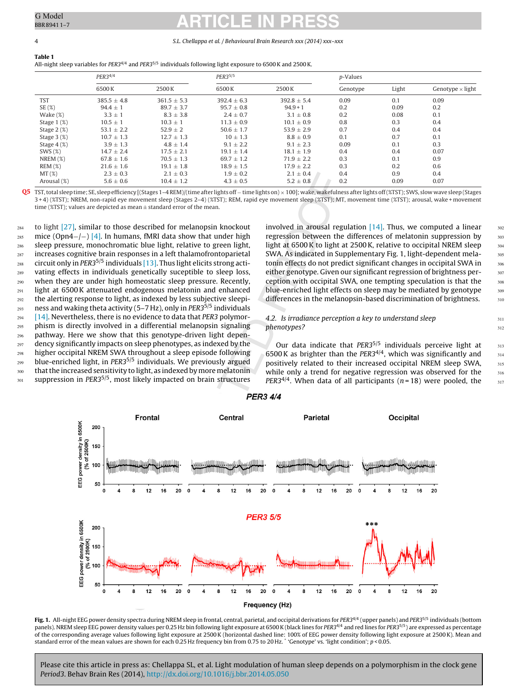### 4 S.L. Chellappa et al. / Behavioural Brain Research xxx (2014) xxx–xxx

<span id="page-3-0"></span>

**Table 1** All-night sleep variables for PER3<sup>4/4</sup> and PER3<sup>5/5</sup> individuals following light exposure to 6500 K and 2500 K.

|               | $PER3^{4/4}$    |                 | PER3 <sup>5/5</sup> |                 | <i>p</i> -Values |       |                         |
|---------------|-----------------|-----------------|---------------------|-----------------|------------------|-------|-------------------------|
|               | 6500 K          | 2500 K          | 6500 K              | 2500K           | Genotype         | Light | Genotype $\times$ light |
| <b>TST</b>    | $385.5 \pm 4.8$ | $361.5 \pm 5.3$ | $392.4 \pm 6.3$     | $392.8 \pm 5.4$ | 0.09             | 0.1   | 0.09                    |
| SE(%)         | $94.4 \pm 1$    | $89.7 + 3.7$    | $95.7 + 0.8$        | $94.9 + 1$      | 0.2              | 0.09  | 0.2                     |
| Wake $(\%)$   | $3.3 \pm 1$     | $8.3 \pm 3.8$   | $2.4 \pm 0.7$       | $3.1 \pm 0.8$   | 0.2              | 0.08  | 0.1                     |
| Stage 1 (%)   | $10.5 \pm 1$    | $10.3 \pm 1$    | $11.3 \pm 0.9$      | $10.1 \pm 0.9$  | 0.8              | 0.3   | 0.4                     |
| Stage $2(\%)$ | $53.1 \pm 2.2$  | $52.9 \pm 2$    | $50.6 \pm 1.7$      | $53.9 \pm 2.9$  | 0.7              | 0.4   | 0.4                     |
| Stage $3(\%)$ | $10.7 \pm 1.3$  | $12.7 \pm 1.3$  | $10 \pm 1.3$        | $8.8 \pm 0.9$   | 0.1              | 0.7   | 0.1                     |
| Stage $4(\%)$ | $3.9 \pm 1.3$   | $4.8 \pm 1.4$   | $9.1 \pm 2.2$       | $9.1 \pm 2.3$   | 0.09             | 0.1   | 0.3                     |
| SWS(%)        | $14.7 \pm 2.4$  | $17.5 + 2.1$    | $19.1 \pm 1.4$      | $18.1 \pm 1.9$  | 0.4              | 0.4   | 0.07                    |
| $NREM(\%)$    | $67.8 \pm 1.6$  | $70.5 \pm 1.3$  | $69.7 \pm 1.2$      | $71.9 \pm 2.2$  | 0.3              | 0.1   | 0.9                     |
| REM(%)        | $21.6 \pm 1.6$  | $19.1 \pm 1.8$  | $18.9 \pm 1.5$      | $17.9 \pm 2.2$  | 0.3              | 0.2   | 0.6                     |
| MT(%)         | $2.3 \pm 0.3$   | $2.1 \pm 0.3$   | $1.9 \pm 0.2$       | $2.1 \pm 0.4$   | 0.4              | 0.9   | 0.4                     |
| Arousal (%)   | $5.6 \pm 0.6$   | $10.4 \pm 1.2$  | $4.3 \pm 0.5$       | $5.2 \pm 0.8$   | 0.2              | 0.09  | 0.07                    |

**Q5** TST,total sleeptime; SE, sleepefficiency [(Stages 1–4REM)/(time after lights off <sup>−</sup> time lights on) <sup>×</sup> 100]; wake, wakefulness after lights off(%TST); SWS, slow wave sleep(Stages 3 + 4) (%TST); NREM, non-rapid eye movement sleep (Stages 2–4) (%TST); REM, rapid eye movement sleep (%TST); MT, movement time (%TST); arousal, wake + movement time (%TST); values are depicted as mean  $\pm$  standard error of the mean.

to light [\[27\],](#page-6-0) similar to those described for melanopsin knockout mice (Opn4−/−) [\[4\].](#page-5-0) In humans, fMRI data show that under high sleep pressure, monochromatic blue light, relative to green light, increases cognitive brain responses in a left thalamofrontoparietal circuit only in PER3<sup>5/5</sup> individuals [\[13\].](#page-5-0) Thus light elicits strong activating effects in individuals genetically suceptible to sleep loss, when they are under high homeostatic sleep pressure. Recently, light at 6500K attenuated endogenous melatonin and enhanced the alerting response to light, as indexed by less subjective sleepiness and waking theta activity (5–7 Hz), only in PER35/5 individuals [\[14\].](#page-5-0) Nevertheless, there is no evidence to data that PER3 polymorphism is directly involved in a differential melanopsin signaling pathway. Here we show that this genotype-driven light dependency significantly impacts on sleep phenotypes, as indexed by the higher occipital NREM SWA throughout a sleep episode following blue-enriched light, in PER3<sup>5/5</sup> individuals. We previously argued that the increased sensitivity to light, as indexed by more melatonin suppression in PER3<sup>5/5</sup>, most likely impacted on brain structures  $284$ 285 286 287 288 289 290 291 292 293 294 295 296 297 298 299 300 301

involved in arousal regulation  $[14]$ . Thus, we computed a linear regression between the differences of melatonin suppression by light at 6500 K to light at 2500 K, relative to occipital NREM sleep SWA. As indicated in Supplementary Fig. 1, light-dependent melatonin effects do not predict significant changes in occipital SWA in either genotype. Given our significant regression of brightness perception with occipital SWA, one tempting speculation is that the blue-enriched light effects on sleep may be mediated by genotype differences in the melanopsin-based discrimination of brightness.

311 312

## 4.2. Is irradiance perception a key to understand sleep phenotypes?

Our data indicate that PER35/5 individuals perceive light at  $6500$  K as brighter than the PER3<sup>4/4</sup>, which was significantly and positively related to their increased occipital NREM sleep SWA, while only a trend for negative regression was observed for the PER3<sup>4/4</sup>. When data of all participants ( $n = 18$ ) were pooled, the



## **PER3 4/4**

Fig. 1. All-night EEG power density spectra during NREM sleep in frontal, central, parietal, and occipital derivations for PER3<sup>4/4</sup> (upper panels) and PER<sup>35/5</sup> individuals (bottom panels). NREM sleep EEG power density values per 0.25 Hz bin following light exposure at 6500 K (black lines for PER3<sup>4/4</sup> and red lines for PER3<sup>5/5</sup>) are expressed as percentage of the corresponding average values following light exposure at 2500K (horizontal dashed line: 100% of EEG power density following light exposure at 2500K). Mean and standard error of the mean values are shown for each 0.25 Hz frequency bin from 0.75 to 20 Hz. \* 'Genotype' vs. 'light condition'; p < 0.05.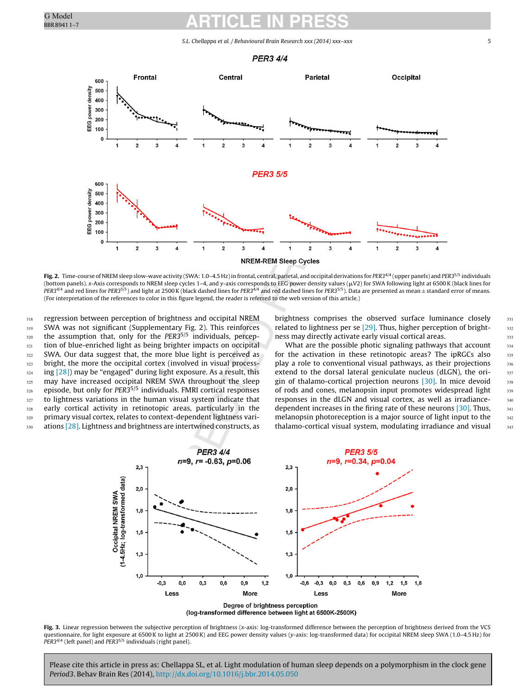S.L. Chellappa et al. / Behavioural Brain Research xxx (2014) xxx–xxx 5

**PER3 4/4** 

<span id="page-4-0"></span>

Fig. 2. Time-course of NREM sleep slow-wave activity (SWA: 1.0-4.5 Hz) in frontal, central, parietal, and occipital derivations for PER3<sup>4/4</sup> (upper panels) and PER3<sup>5/5</sup> individuals (bottom panels). x-Axis corresponds to NREM sleep cycles 1–4, and y-axis corresponds to EEG power density values ( $\mu$ V2) for SWA following light at 6500 K (black lines for  $PER3^{4/4}$  and red lines for PER3<sup>5/5</sup>) and light at 2500K (black dashed lines for PER3<sup>4/4</sup> and red dashed lines for PER3<sup>5/5</sup>). Data are presented as mean ± standard error of means. (For interpretation of the references to color in this figure legend, the reader is referred to the web version of this article.)

regression between perception of brightness and occipital NREM SWA was not significant (Supplementary Fig. 2). This reinforces the assumption that, only for the PER3<sup>5/5</sup> individuals, perception of blue-enriched light as being brighter impacts on occipital SWA. Our data suggest that, the more blue light is perceived as bright, the more the occipital cortex (involved in visual processing [\[28\]\)](#page-6-0) may be "engaged" during light exposure. As a result, this may have increased occipital NREM SWA throughout the sleep episode, but only for PER35/5 individuals. FMRI cortical responses to lightness variations in the human visual system indicate that early cortical activity in retinotopic areas, particularly in the primary visual cortex, relates to context-dependent lightness variations [\[28\].](#page-6-0) Lightness and brightness are intertwined constructs, as 318 319 320 321 322 323 324 325 326 327 328 329 330

brightness comprises the observed surface luminance closely related to lightness per se [\[29\].](#page-6-0) Thus, higher perception of brightness may directly activate early visual cortical areas.

What are the possible photic signaling pathways that account for the activation in these retinotopic areas? The ipRGCs also play a role to conventional visual pathways, as their projections extend to the dorsal lateral geniculate nucleus (dLGN), the origin of thalamo-cortical projection neurons [\[30\].](#page-6-0) In mice devoid of rods and cones, melanopsin input promotes widespread light responses in the dLGN and visual cortex, as well as irradiancedependent increases in the firing rate of these neurons [\[30\].](#page-6-0) Thus, melanopsin photoreception is a major source of light input to the thalamo-cortical visual system, modulating irradiance and visual



**Fig. 3.** Linear regression between the subjective perception of brightness (x-axis: log-transformed difference between the perception of brightness derived from the VCS questionnaire, for light exposure at 6500K to light at 2500K) and EEG power density values (y-axis: log-transformed data) for occipital NREM sleep SWA (1.0–4.5 Hz) for PER3<sup>4/4</sup> (left panel) and PER3<sup>5/5</sup> individuals (right panel).

Please cite this article in press as: Chellappa SL, et al. Light modulation of human sleep depends on a polymorphism in the clock gene Period3. Behav Brain Res (2014), [http://dx.doi.org/10.1016/j.bbr.2014.05.050](dx.doi.org/10.1016/j.bbr.2014.05.050)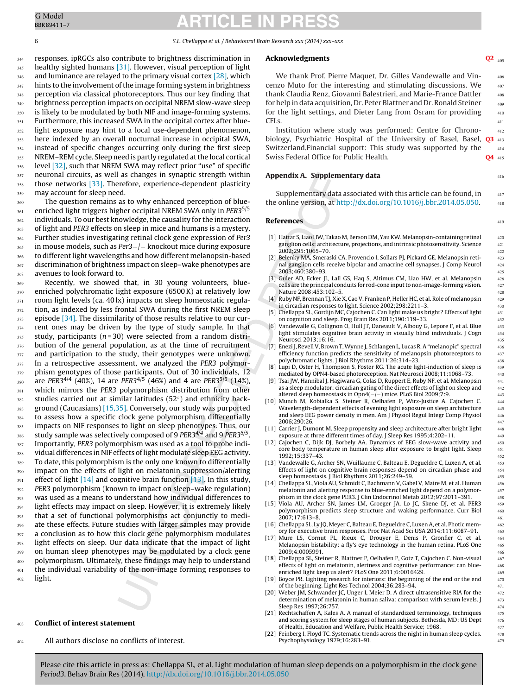<span id="page-5-0"></span>6 S.L. Chellappa et al. / Behavioural Brain Research xxx (2014) xxx–xxx

responses. ipRGCs also contribute to brightness discrimination in healthy sighted humans [\[31\].](#page-6-0) However, visual perception of light and luminance are relayed to the primary visual cortex [\[28\],](#page-6-0) which hints to the involvement of the image forming system in brightness perception via classical photoreceptors. Thus our key finding that brightness perception impacts on occipital NREM slow-wave sleep is likely to be modulated by both NIF and image-forming systems. Furthermore, this increased SWA in the occipital cortex after bluelight exposure may hint to a local use-dependent phenomenon, here indexed by an overall nocturnal increase in occipital SWA, instead of specific changes occurring only during the first sleep NREM-REM cycle. Sleep need is partly regulated at the local cortical level [\[32\],](#page-6-0) such that NREM SWA may reflect prior "use" of specific neuronal circuits, as well as changes in synaptic strength within those networks [\[33\].](#page-6-0) Therefore, experience-dependent plasticity may account for sleep need. 344 345 346 347 348 349 350 351 352 353 354 355 356 357 358 359

The question remains as to why enhanced perception of blueenriched light triggers higher occipital NREM SWA only in PER3<sup>5/5</sup> individuals. To our best knowledge, the causality for the interaction of light and PER3 effects on sleep in mice and humans is a mystery. Further studies investigating retinal clock gene expression of Per3 in mouse models, such as Per3−/− knockout mice during exposure to different light wavelengths and how different melanopsin-based discrimination of brightness impact on sleep–wake phenotypes are avenues to look forward to. 360 361 362 363 364 365 366 367 368

Recently, we showed that, in 30 young volunteers, blueenriched polychromatic light exposure (6500K) at relatively low room light levels (ca. 40 lx) impacts on sleep homeostatic regulation, as indexed by less frontal SWA during the first NREM sleep episode [\[34\].](#page-6-0) The dissimilarity of those results relative to our current ones may be driven by the type of study sample. In that study, participants ( $n = 30$ ) were selected from a random distribution of the general population, as at the time of recruitment and participation to the study, their genotypes were unknown. In a retrospective assessment, we analyzed the PER3 polymorphism genotypes of those participants. Out of 30 individuals, 12 are PER3<sup>4/4</sup> (40%), 14 are PER3<sup>4/5</sup> (46%) and 4 are PER3<sup>5/5</sup> (14%), which mirrors the PER3 polymorphism distribution from other studies carried out at similar latitudes (52◦) and ethnicity background (Caucasians) [15,35]. Conversely, our study was purported to assess how a specific clock gene polymorphism differentially impacts on NIF responses to light on sleep phenotypes. Thus, our study sample was selectively composed of 9  $PER3^{4/4}$  and 9  $PER3^{5/5}$ . Importantly, PER3 polymorphism was used as a tool to probe individual differences in NIF effects of light modulate sleep EEG activity. To date, this polymorphism is the only one known to differentially impact on the effects of light on melatonin suppression/alerting effect of light  $[14]$  and cognitive brain function  $[13]$ . In this study, PER3 polymorphism (known to impact on sleep–wake regulation) was used as a means to understand how individual differences to light effects may impact on sleep. However, it is extremely likely that a set of functional polymorphisms act conjunctly to mediate these effects. Future studies with larger samples may provide a conclusion as to how this clock gene polymorphism modulates light effects on sleep. Our data indicate that the impact of light on human sleep phenotypes may be modulated by a clock gene polymorphism. Ultimately, these findings may help to understand the individual variability of the non-image forming responses to light. 369 370 371 372 373 374 375 376 377 378 379 380 381 382 383 384 385 386 387 388 389 390 391 392 393 394 395 396 397 398 399 400 401 402

#### **Conflict of interest statement** 403

All authors disclose no conflicts of interest. 404

## **Acknowledgments Q2**

We thank Prof. Pierre Maquet, Dr. Gilles Vandewalle and Vincenzo Muto for the interesting and stimulating discussions. We thank Claudia Renz, Giovanni Balestrieri, and Marie-France Dattler for help in data acquisition, Dr. Peter Blattner and Dr. Ronald Steiner for the light settings, and Dieter Lang from Osram for providing CFLs.

Institution where study was performed: Centre for Chronobiology, Psychiatric Hospital of the University of Basel, Basel, **Q3** 413 Switzerland.Financial support: This study was supported by the Swiss Federal Office for Public Health. **Q4** 412 414 04 415

## **Appendix A. Supplementary data**

Supplementary data associated with this article can be found, in the online version, at [http://dx.doi.org/10.1016/j.bbr.2014.05.050.](http://dx.doi.org/10.1016/j.bbr.2014.05.050)

## **References**

- [1] Hattar S, Liao HW, Takao M, Berson DM, YauKW. Melanopsin-containing retinal ganglion cells: architecture, projections, and intrinsic photosensitivity. Science 2002;295:1065–70.
- Belenky MA, Smeraski CA, Provencio I, Sollars PJ, Pickard GE. Melanopsin retinal ganglion cells receive bipolar and amacrine cell synapses. J Comp Neurol 2003;460:380–93.
- [3] Guler AD, Ecker JL, Lall GS, Haq S, Altimus CM, Liao HW, et al. Melanopsin cells are the principal conduits for rod-cone inputto non-image-forming vision. Nature 2008;453:102–5.
- [4] Ruby NF, Brennan TJ, Xie X, Cao V, Franken P, Heller HC, et al. Role of melanopsin in circadian responses to light. Science 2002;298:2211–3.
- [5] Chellappa SL, Gordijn MC, Cajochen C. Can light make us bright? Effects of light on cognition and sleep. Prog Brain Res 2011;190:119–33.
- Vandewalle G, Collignon O, Hull JT, Daneault V, Albouy G, Lepore F, et al. Blue light stimulates cognitive brain activity in visually blind individuals. J Cogn Neurosci 2013;16:16.
- [7] Enezi J, Revell V, Brown T,Wynne J, Schlangen L, Lucas R. A "melanopic" spectral efficiency function predicts the sensitivity of melanopsin photoreceptors to polychromatic lights. J Biol Rhythms 2011;26:314–23.
- [8] Lupi D, Oster H, Thompson S, Foster RG. The acute light-induction of sleep is mediated by OPN4-based photoreception. Nat Neurosci 2008;11:1068–73.
- [9] Tsai JW, Hannibal J, Hagiwara G, Colas D, Ruppert E, Ruby NF, et al. Melanopsin as a sleep modulator: circadian gating of the direct effects of light on sleep and altered sleep homeostasis in Opn4(−/−) mice. PLoS Biol 2009;7:9.
- [10] Munch M, Kobialka S, Steiner R, Oelhafen P, Wirz-Justice A, Cajochen C. Wavelength-dependent effects of evening light exposure on sleep architecture and sleep EEG power density in men. Am J Physiol Regul Integr Comp Physiol 2006;290:26.
- [11] Carrier J, Dumont M. Sleep propensity and sleep architecture after bright light exposure at three different times of day. J Sleep Res 1995;4:202–11.
- [12] Cajochen C, Dijk DJ, Borbely AA. Dynamics of EEG slow-wave activity and core body temperature in human sleep after exposure to bright light. Sleep 1992;15:337–43.
- [13] Vandewalle G, Archer SN, Wuillaume C, Balteau E, Degueldre C, Luxen A, et al. Effects of light on cognitive brain responses depend on circadian phase and sleep homeostasis. J Biol Rhythms 2011;26:249–59.
- [14] Chellappa SL, Viola AU, Schmidt C, Bachmann V, Gabel V, Maire M, et al. Human melatonin and alerting response to blue-enriched light depend on a polymorphism in the clock gene PER3. J Clin Endocrinol Metab 2012;97:2011–391.
- [15] Viola AU, Archer SN, James LM, Groeger JA, Lo JC, Skene DJ, et al. PER3 polymorphism predicts sleep structure and waking performance. Curr Biol 2007;17:613–8.
- [16] Chellappa SL, Ly JQ, Meyer C, Balteau E, Degueldre C, Luxen A, et al. Photic memory for executive brain responses. Proc Nat Acad Sci USA 2014;111:6087–91.
- [17] Mure LS, Cornut PL, Rieux C, Drouyer E, Denis P, Gronfier C, et al. Melanopsin bistability: a fly's eye technology in the human retina. PLoS One 2009;4:0005991.
- [18] Chellappa SL, Steiner R, Blattner P, Oelhafen P, Gotz T, Cajochen C. Non-visual effects of light on melatonin, alertness and cognitive performance: can blueenriched light keep us alert? PLoS One 2011;6:0016429.
- [19] Boyce PR. Lighting research for interiors: the beginning of the end or the end of the beginning. Light Res Technol 2004;36:283–94.
- [20] Weber JM, Schwander JC, Unger I, Meier D. A direct ultrasensitive RIA for the determination of melatonin in human saliva: comparison with serum levels. J Sleep Res 1997;26:757.
- [21] Rechtschaffen A, Kales A. A manual of standardized terminology, techniques and scoring system for sleep stages of human subjects. Bethesda, MD: US Dept of Health, Education and Welfare, Public Health Service; 1968.
- [22] Feinberg I, Floyd TC. Systematic trends across the night in human sleep cycles. Psychophysiology 1979;16:283–91.

Please cite this article in press as: Chellappa SL, et al. Light modulation of human sleep depends on a polymorphism in the clock gene Period3. Behav Brain Res (2014), [http://dx.doi.org/10.1016/j.bbr.2014.05.050](dx.doi.org/10.1016/j.bbr.2014.05.050)

406 407

416

417

 $Q2_{405}$